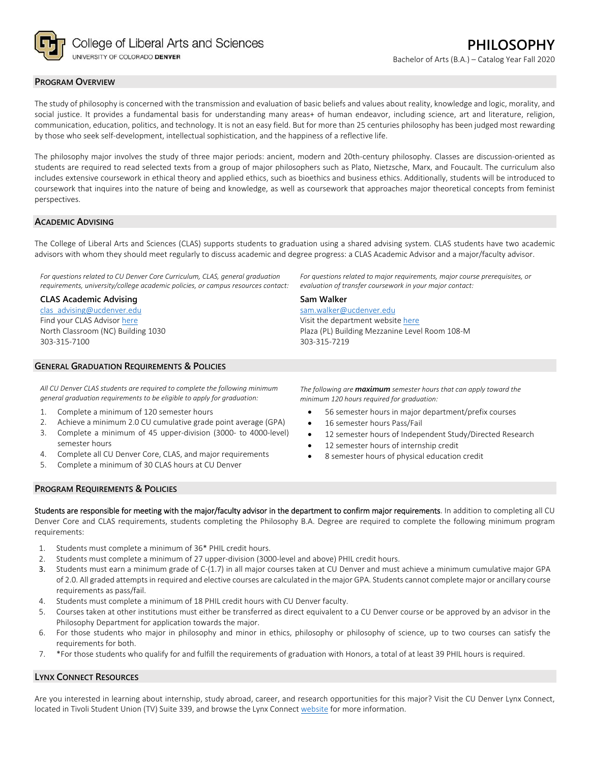

## **PROGRAM OVERVIEW**

The study of philosophy is concerned with the transmission and evaluation of basic beliefs and values about reality, knowledge and logic, morality, and social justice. It provides a fundamental basis for understanding many areas+ of human endeavor, including science, art and literature, religion, communication, education, politics, and technology. It is not an easy field. But for more than 25 centuries philosophy has been judged most rewarding by those who seek self‐development, intellectual sophistication, and the happiness of a reflective life.

The philosophy major involves the study of three major periods: ancient, modern and 20th‐century philosophy. Classes are discussion‐oriented as students are required to read selected texts from a group of major philosophers such as Plato, Nietzsche, Marx, and Foucault. The curriculum also includes extensive coursework in ethical theory and applied ethics, such as bioethics and business ethics. Additionally, students will be introduced to coursework that inquires into the nature of being and knowledge, as well as coursework that approaches major theoretical concepts from feminist perspectives.

#### **ACADEMIC ADVISING**

The College of Liberal Arts and Sciences (CLAS) supports students to graduation using a shared advising system. CLAS students have two academic advisors with whom they should meet regularly to discuss academic and degree progress: a CLAS Academic Advisor and a major/faculty advisor.

*For questions related to CU Denver Core Curriculum, CLAS, general graduation requirements, university/college academic policies, or campus resources contact:* 

#### **CLAS Academic Advising**

clas\_advising@ucdenver.edu Find your CLAS Advisor here North Classroom (NC) Building 1030 303‐315‐7100

#### **GENERAL GRADUATION REQUIREMENTS & POLICIES**

*All CU Denver CLAS students are required to complete the following minimum general graduation requirements to be eligible to apply for graduation:* 

- 1. Complete a minimum of 120 semester hours
- 2. Achieve a minimum 2.0 CU cumulative grade point average (GPA)
- 3. Complete a minimum of 45 upper‐division (3000‐ to 4000‐level) semester hours
- 4. Complete all CU Denver Core, CLAS, and major requirements
- 5. Complete a minimum of 30 CLAS hours at CU Denver

*For questions related to major requirements, major course prerequisites, or evaluation of transfer coursework in your major contact:* **Sam Walker** 

sam.walker@ucdenver.edu

Visit the department website here Plaza (PL) Building Mezzanine Level Room 108‐M 303‐315‐7219

*The following are maximum semester hours that can apply toward the minimum 120 hours required for graduation:*

- 56 semester hours in major department/prefix courses
- 16 semester hours Pass/Fail
- 12 semester hours of Independent Study/Directed Research
- 12 semester hours of internship credit
- 8 semester hours of physical education credit

### **PROGRAM REQUIREMENTS & POLICIES**

Students are responsible for meeting with the major/faculty advisor in the department to confirm major requirements. In addition to completing all CU Denver Core and CLAS requirements, students completing the Philosophy B.A. Degree are required to complete the following minimum program requirements:

- 1. Students must complete a minimum of 36\* PHIL credit hours.
- 2. Students must complete a minimum of 27 upper-division (3000-level and above) PHIL credit hours.
- 3. Students must earn a minimum grade of C‐(1.7) in all major courses taken at CU Denver and must achieve a minimum cumulative major GPA of 2.0. All graded attempts in required and elective courses are calculated in the major GPA. Students cannot complete major or ancillary course requirements as pass/fail.
- 4. Students must complete a minimum of 18 PHIL credit hours with CU Denver faculty.
- 5. Courses taken at other institutions must either be transferred as direct equivalent to a CU Denver course or be approved by an advisor in the Philosophy Department for application towards the major.
- 6. For those students who major in philosophy and minor in ethics, philosophy or philosophy of science, up to two courses can satisfy the requirements for both.
- 7. \*For those students who qualify for and fulfill the requirements of graduation with Honors, a total of at least 39 PHIL hours is required.

# **LYNX CONNECT RESOURCES**

Are you interested in learning about internship, study abroad, career, and research opportunities for this major? Visit the CU Denver Lynx Connect, located in Tivoli Student Union (TV) Suite 339, and browse the Lynx Connect website for more information.